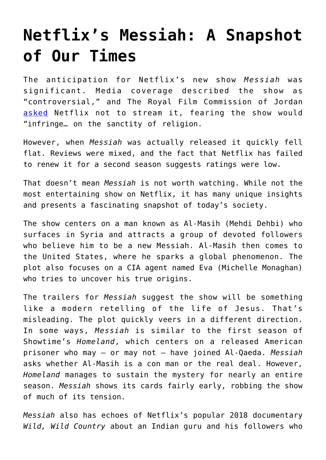## **[Netflix's Messiah: A Snapshot](https://intellectualtakeout.org/2020/03/netflixs-messiah-a-snapshot-of-our-times/) [of Our Times](https://intellectualtakeout.org/2020/03/netflixs-messiah-a-snapshot-of-our-times/)**

The anticipation for Netflix's new show *Messiah* was significant. Media coverage described the show as "controversial," and The Royal Film Commission of Jordan [asked](https://deadline.com/2019/12/messiah-jordan-royal-film-commission-asks-nextflix-not-to-stream-provocative-series-after-supporting-shoot-1202818543/) Netflix not to stream it, fearing the show would "infringe… on the sanctity of religion.

However, when *Messiah* was actually released it quickly fell flat. Reviews were mixed, and the fact that Netflix has failed to renew it for a second season suggests ratings were low.

That doesn't mean *Messiah* is not worth watching. While not the most entertaining show on Netflix, it has many unique insights and presents a fascinating snapshot of today's society.

The show centers on a man known as Al-Masih (Mehdi Dehbi) who surfaces in Syria and attracts a group of devoted followers who believe him to be a new Messiah. Al-Masih then comes to the United States, where he sparks a global phenomenon. The plot also focuses on a CIA agent named Eva (Michelle Monaghan) who tries to uncover his true origins.

The trailers for *Messiah* suggest the show will be something like a modern retelling of the life of Jesus. That's misleading. The plot quickly veers in a different direction. In some ways, *Messiah* is similar to the first season of Showtime's *Homeland*, which centers on a released American prisoner who may – or may not – have joined Al-Qaeda. *Messiah* asks whether Al-Masih is a con man or the real deal. However, *Homeland* manages to sustain the mystery for nearly an entire season. *Messiah* shows its cards fairly early, robbing the show of much of its tension.

*Messiah* also has echoes of Netflix's popular 2018 documentary *Wild, Wild Country* about an Indian guru and his followers who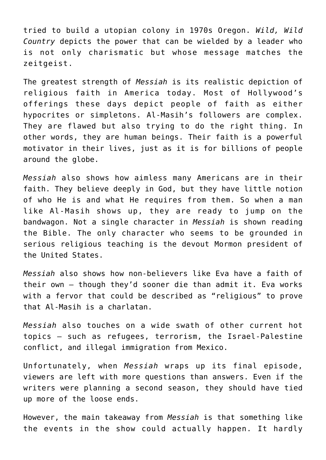tried to build a utopian colony in 1970s Oregon. *Wild, Wild Country* depicts the power that can be wielded by a leader who is not only charismatic but whose message matches the zeitgeist.

The greatest strength of *Messiah* is its realistic depiction of religious faith in America today. Most of Hollywood's offerings these days depict people of faith as either hypocrites or simpletons. Al-Masih's followers are complex. They are flawed but also trying to do the right thing. In other words, they are human beings. Their faith is a powerful motivator in their lives, just as it is for billions of people around the globe.

*Messiah* also shows how aimless many Americans are in their faith. They believe deeply in God, but they have little notion of who He is and what He requires from them. So when a man like Al-Masih shows up, they are ready to jump on the bandwagon. Not a single character in *Messiah* is shown reading the Bible. The only character who seems to be grounded in serious religious teaching is the devout Mormon president of the United States.

*Messiah* also shows how non-believers like Eva have a faith of their own – though they'd sooner die than admit it. Eva works with a fervor that could be described as "religious" to prove that Al-Masih is a charlatan.

*Messiah* also touches on a wide swath of other current hot topics – such as refugees, terrorism, the Israel-Palestine conflict, and illegal immigration from Mexico.

Unfortunately, when *Messiah* wraps up its final episode, viewers are left with more questions than answers. Even if the writers were planning a second season, they should have tied up more of the loose ends.

However, the main takeaway from *Messiah* is that something like the events in the show could actually happen. It hardly